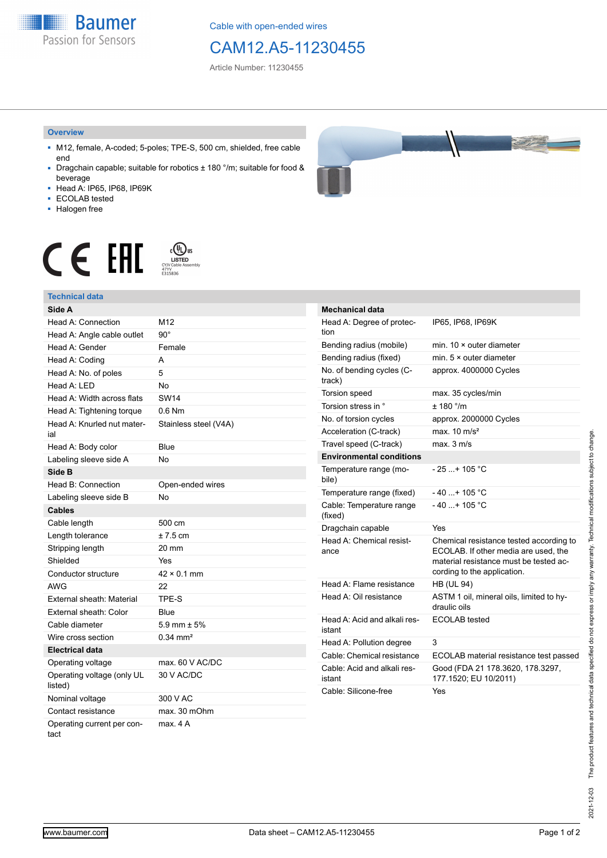**Baumer** Passion for Sensors

Cable with open-ended wires

# CAM12.A5-11230455

Article Number: 11230455

#### **Overview**

- M12, female, A-coded; 5-poles; TPE-S, 500 cm, shielded, free cable end
- Dragchain capable; suitable for robotics ± 180 °/m; suitable for food & beverage
- Head A: IP65, IP68, IP69K
- ECOLAB tested
- Halogen free





## **Technical data**

| Side A                                |                       |
|---------------------------------------|-----------------------|
| Head A: Connection                    | M <sub>12</sub>       |
| Head A: Angle cable outlet            | $90^{\circ}$          |
| Head A: Gender                        | Female                |
| Head A: Coding                        | А                     |
| Head A: No. of poles                  | 5                     |
| Head A: LED                           | <b>No</b>             |
| Head A: Width across flats            | <b>SW14</b>           |
| Head A: Tightening torque             | $0.6$ Nm              |
| Head A: Knurled nut mater-<br>ial     | Stainless steel (V4A) |
| Head A: Body color                    | Blue                  |
| Labeling sleeve side A                | <b>No</b>             |
| Side B                                |                       |
| Head B: Connection                    | Open-ended wires      |
| Labeling sleeve side B                | <b>No</b>             |
| <b>Cables</b>                         |                       |
| Cable length                          | 500 cm                |
| Length tolerance                      | $±7.5$ cm             |
| Stripping length                      | 20 mm                 |
| Shielded                              | Yes                   |
| Conductor structure                   | $42 \times 0.1$ mm    |
| AWG                                   | 22                    |
| External sheath: Material             | TPE-S                 |
| External sheath: Color                | Blue                  |
| Cable diameter                        | 5.9 mm $\pm$ 5%       |
| Wire cross section                    | $0.34 \text{ mm}^2$   |
| <b>Electrical data</b>                |                       |
| Operating voltage                     | max. 60 V AC/DC       |
| Operating voltage (only UL<br>listed) | 30 V AC/DC            |
| Nominal voltage                       | 300 V AC              |
| Contact resistance                    | max. 30 mOhm          |
| Operating current per con-<br>tact    | max. 4A               |

| <b>Mechanical data</b>                 |                                                                                                                                                          |
|----------------------------------------|----------------------------------------------------------------------------------------------------------------------------------------------------------|
| Head A: Degree of protec-<br>tion      | IP65, IP68, IP69K                                                                                                                                        |
| Bending radius (mobile)                | min. $10 \times$ outer diameter                                                                                                                          |
| Bending radius (fixed)                 | min. $5 \times$ outer diameter                                                                                                                           |
| No. of bending cycles (C-<br>track)    | approx. 4000000 Cycles                                                                                                                                   |
| <b>Torsion speed</b>                   | max. 35 cycles/min                                                                                                                                       |
| Torsion stress in °                    | ± 180 °/m                                                                                                                                                |
| No. of torsion cycles                  | approx. 2000000 Cycles                                                                                                                                   |
| Acceleration (C-track)                 | max. $10 \text{ m/s}^2$                                                                                                                                  |
| Travel speed (C-track)                 | max. 3 m/s                                                                                                                                               |
| <b>Environmental conditions</b>        |                                                                                                                                                          |
| Temperature range (mo-<br>bile)        | $-25$ + 105 °C                                                                                                                                           |
| Temperature range (fixed)              | $-40+105 °C$                                                                                                                                             |
| Cable: Temperature range<br>(fixed)    | $-40$ + 105 °C                                                                                                                                           |
| Dragchain capable                      | Yes                                                                                                                                                      |
| Head A: Chemical resist-<br>ance       | Chemical resistance tested according to<br>ECOLAB. If other media are used, the<br>material resistance must be tested ac-<br>cording to the application. |
| Head A: Flame resistance               | <b>HB (UL 94)</b>                                                                                                                                        |
| Head A: Oil resistance                 | ASTM 1 oil, mineral oils, limited to hy-<br>draulic oils                                                                                                 |
| Head A: Acid and alkali res-<br>istant | <b>ECOLAB</b> tested                                                                                                                                     |
| Head A: Pollution degree               | 3                                                                                                                                                        |
| Cable: Chemical resistance             | ECOLAB material resistance test passed                                                                                                                   |
| Cable: Acid and alkali res-<br>istant  | Good (FDA 21 178.3620, 178.3297,<br>177.1520; EU 10/2011)                                                                                                |
| Cable: Silicone-free                   | Yes                                                                                                                                                      |